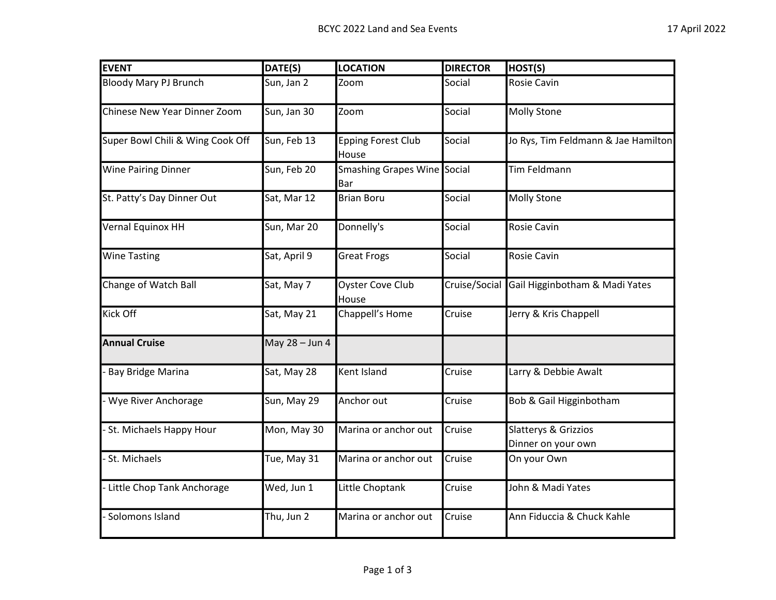| <b>EVENT</b>                     | DATE(S)        | <b>LOCATION</b>                    | <b>DIRECTOR</b> | HOST(S)                                    |
|----------------------------------|----------------|------------------------------------|-----------------|--------------------------------------------|
| <b>Bloody Mary PJ Brunch</b>     | Sun, Jan 2     | Zoom                               | Social          | <b>Rosie Cavin</b>                         |
| Chinese New Year Dinner Zoom     | Sun, Jan 30    | Zoom                               | Social          | <b>Molly Stone</b>                         |
| Super Bowl Chili & Wing Cook Off | Sun, Feb 13    | <b>Epping Forest Club</b><br>House | Social          | Jo Rys, Tim Feldmann & Jae Hamilton        |
| <b>Wine Pairing Dinner</b>       | Sun, Feb 20    | Smashing Grapes Wine Social<br>Bar |                 | <b>Tim Feldmann</b>                        |
| St. Patty's Day Dinner Out       | Sat, Mar 12    | <b>Brian Boru</b>                  | Social          | <b>Molly Stone</b>                         |
| Vernal Equinox HH                | Sun, Mar 20    | Donnelly's                         | Social          | <b>Rosie Cavin</b>                         |
| <b>Wine Tasting</b>              | Sat, April 9   | <b>Great Frogs</b>                 | Social          | <b>Rosie Cavin</b>                         |
| Change of Watch Ball             | Sat, May 7     | <b>Oyster Cove Club</b><br>House   | Cruise/Social   | Gail Higginbotham & Madi Yates             |
| <b>Kick Off</b>                  | Sat, May 21    | Chappell's Home                    | Cruise          | Jerry & Kris Chappell                      |
| <b>Annual Cruise</b>             | May 28 - Jun 4 |                                    |                 |                                            |
| <b>Bay Bridge Marina</b>         | Sat, May 28    | Kent Island                        | Cruise          | Larry & Debbie Awalt                       |
| Wye River Anchorage              | Sun, May 29    | Anchor out                         | Cruise          | Bob & Gail Higginbotham                    |
| St. Michaels Happy Hour          | Mon, May 30    | Marina or anchor out               | Cruise          | Slatterys & Grizzios<br>Dinner on your own |
| St. Michaels                     | Tue, May 31    | Marina or anchor out               | Cruise          | On your Own                                |
| Little Chop Tank Anchorage       | Wed, Jun 1     | Little Choptank                    | Cruise          | John & Madi Yates                          |
| Solomons Island                  | Thu, Jun 2     | Marina or anchor out               | Cruise          | Ann Fiduccia & Chuck Kahle                 |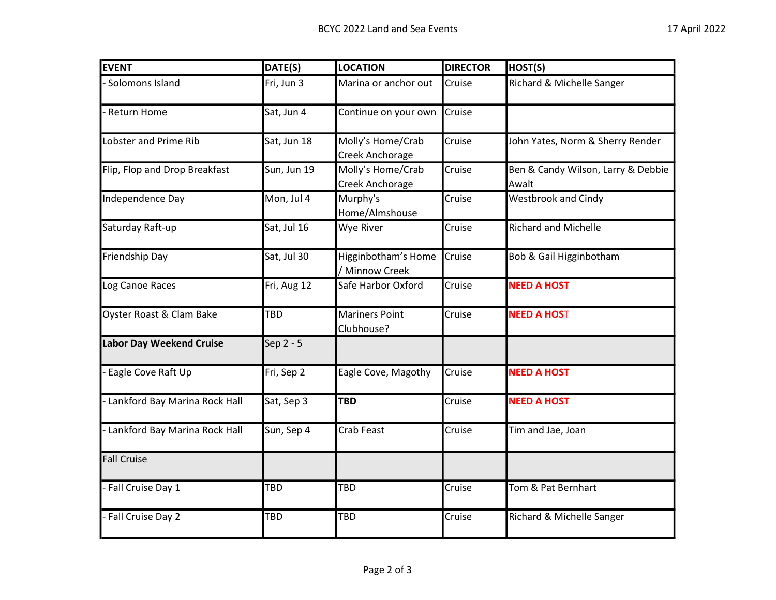| <b>EVENT</b>                    | DATE(S)     | <b>LOCATION</b>                       | <b>DIRECTOR</b> | HOST(S)                                     |
|---------------------------------|-------------|---------------------------------------|-----------------|---------------------------------------------|
| - Solomons Island               | Fri, Jun 3  | Marina or anchor out                  | Cruise          | Richard & Michelle Sanger                   |
| - Return Home                   | Sat, Jun 4  | Continue on your own                  | Cruise          |                                             |
| Lobster and Prime Rib           | Sat, Jun 18 | Molly's Home/Crab<br>Creek Anchorage  | Cruise          | John Yates, Norm & Sherry Render            |
| Flip, Flop and Drop Breakfast   | Sun, Jun 19 | Molly's Home/Crab<br>Creek Anchorage  | Cruise          | Ben & Candy Wilson, Larry & Debbie<br>Awalt |
| Independence Day                | Mon, Jul 4  | Murphy's<br>Home/Almshouse            | Cruise          | <b>Westbrook and Cindy</b>                  |
| Saturday Raft-up                | Sat, Jul 16 | Wye River                             | Cruise          | <b>Richard and Michelle</b>                 |
| Friendship Day                  | Sat, Jul 30 | Higginbotham's Home<br>/ Minnow Creek | Cruise          | Bob & Gail Higginbotham                     |
| Log Canoe Races                 | Fri, Aug 12 | Safe Harbor Oxford                    | Cruise          | <b>NEED A HOST</b>                          |
| Oyster Roast & Clam Bake        | <b>TBD</b>  | <b>Mariners Point</b><br>Clubhouse?   | Cruise          | <b>NEED A HOST</b>                          |
| <b>Labor Day Weekend Cruise</b> | Sep 2 - 5   |                                       |                 |                                             |
| - Eagle Cove Raft Up            | Fri, Sep 2  | Eagle Cove, Magothy                   | Cruise          | <b>NEED A HOST</b>                          |
| - Lankford Bay Marina Rock Hall | Sat, Sep 3  | <b>TBD</b>                            | Cruise          | <b>NEED A HOST</b>                          |
| - Lankford Bay Marina Rock Hall | Sun, Sep 4  | <b>Crab Feast</b>                     | Cruise          | Tim and Jae, Joan                           |
| <b>Fall Cruise</b>              |             |                                       |                 |                                             |
| - Fall Cruise Day 1             | TBD         | TBD                                   | Cruise          | Tom & Pat Bernhart                          |
| - Fall Cruise Day 2             | TBD         | TBD                                   | Cruise          | Richard & Michelle Sanger                   |